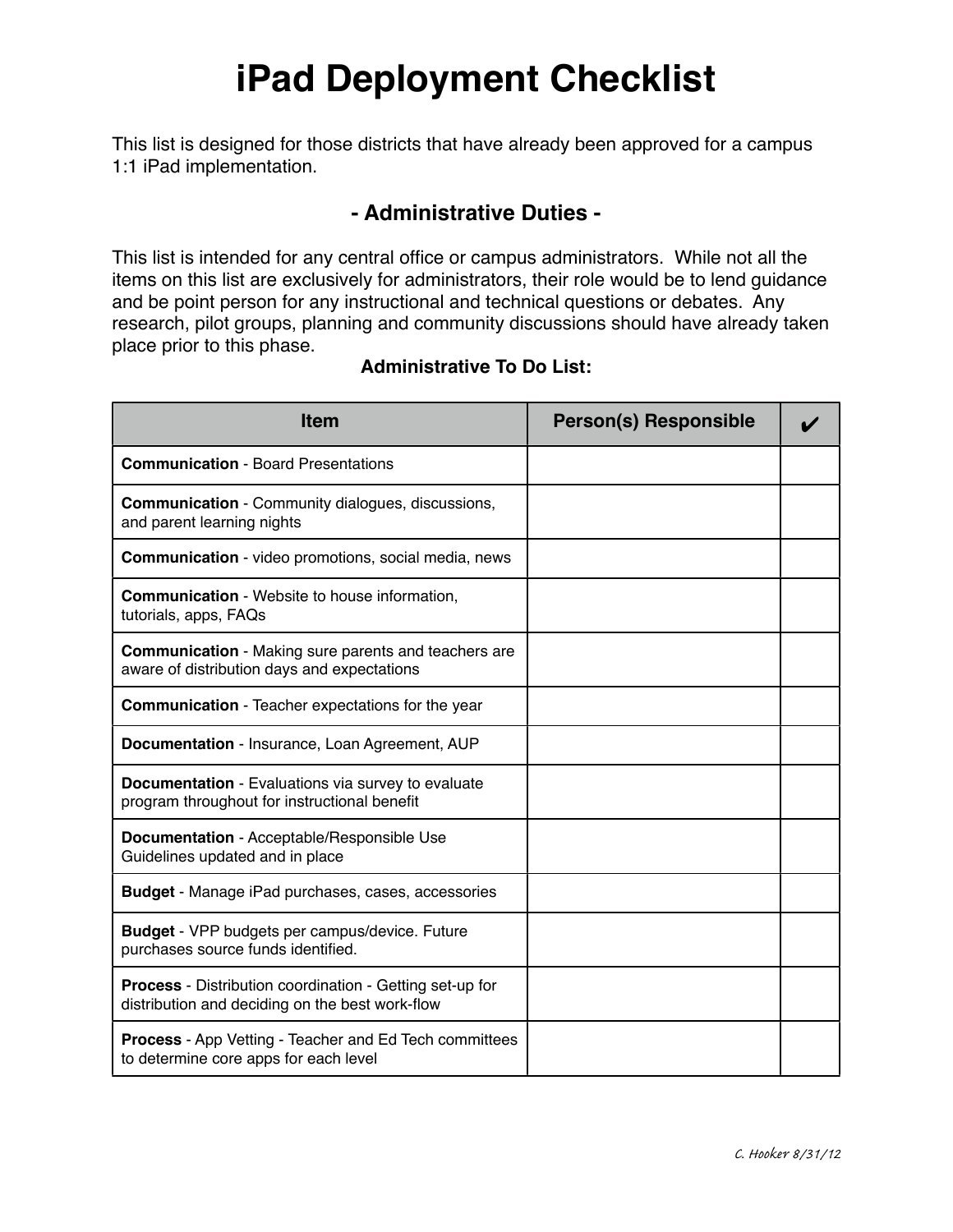## **iPad Deployment Checklist**

This list is designed for those districts that have already been approved for a campus 1:1 iPad implementation.

### **- Administrative Duties -**

This list is intended for any central office or campus administrators. While not all the items on this list are exclusively for administrators, their role would be to lend guidance and be point person for any instructional and technical questions or debates. Any research, pilot groups, planning and community discussions should have already taken place prior to this phase.

#### **Administrative To Do List:**

| <b>Item</b>                                                                                                 | <b>Person(s) Responsible</b> |  |
|-------------------------------------------------------------------------------------------------------------|------------------------------|--|
| <b>Communication - Board Presentations</b>                                                                  |                              |  |
| <b>Communication</b> - Community dialogues, discussions,<br>and parent learning nights                      |                              |  |
| <b>Communication</b> - video promotions, social media, news                                                 |                              |  |
| <b>Communication</b> - Website to house information,<br>tutorials, apps, FAQs                               |                              |  |
| <b>Communication</b> - Making sure parents and teachers are<br>aware of distribution days and expectations  |                              |  |
| <b>Communication</b> - Teacher expectations for the year                                                    |                              |  |
| Documentation - Insurance, Loan Agreement, AUP                                                              |                              |  |
| Documentation - Evaluations via survey to evaluate<br>program throughout for instructional benefit          |                              |  |
| Documentation - Acceptable/Responsible Use<br>Guidelines updated and in place                               |                              |  |
| <b>Budget</b> - Manage iPad purchases, cases, accessories                                                   |                              |  |
| <b>Budget</b> - VPP budgets per campus/device. Future<br>purchases source funds identified.                 |                              |  |
| Process - Distribution coordination - Getting set-up for<br>distribution and deciding on the best work-flow |                              |  |
| <b>Process</b> - App Vetting - Teacher and Ed Tech committees<br>to determine core apps for each level      |                              |  |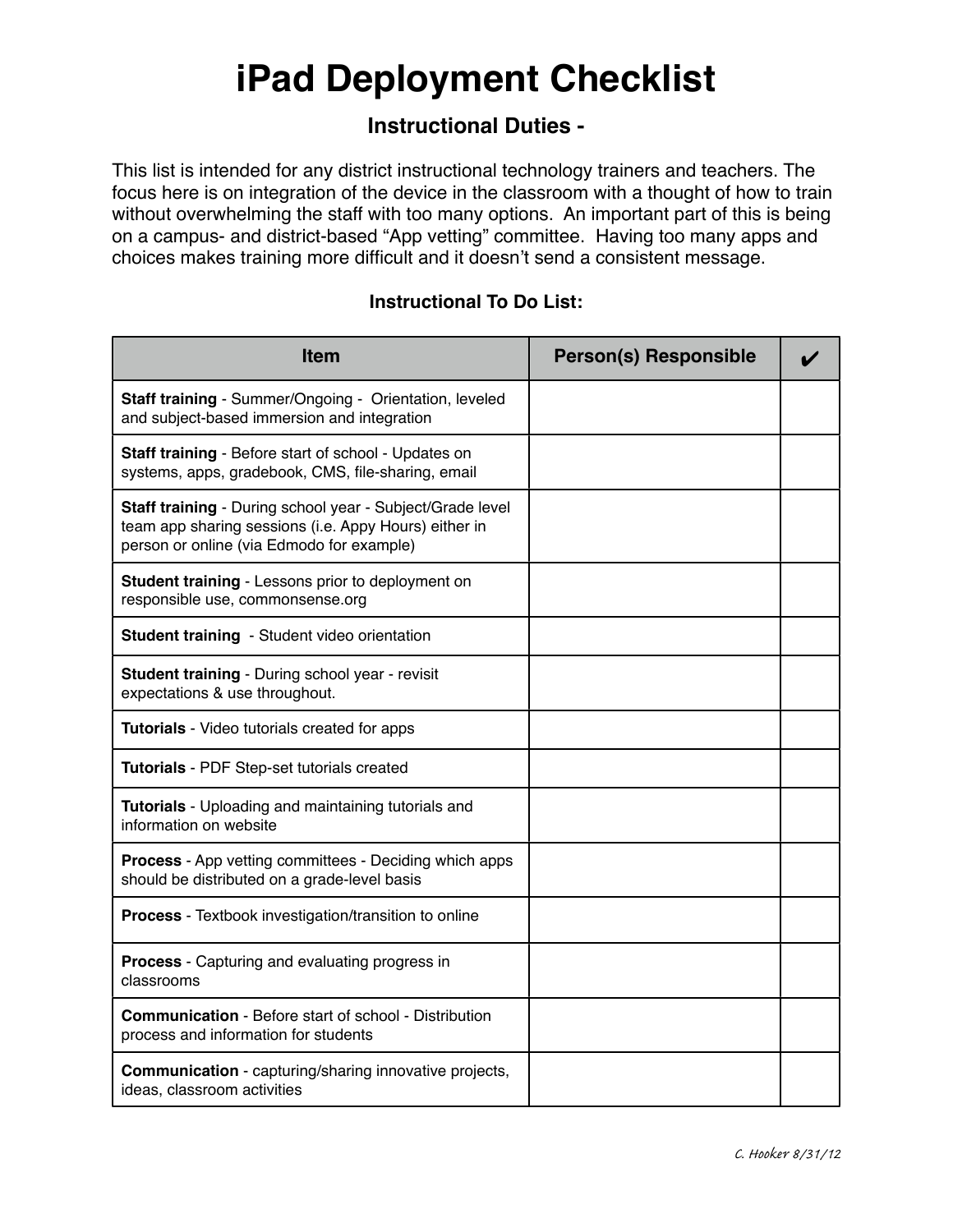## **iPad Deployment Checklist**

## **Instructional Duties -**

This list is intended for any district instructional technology trainers and teachers. The focus here is on integration of the device in the classroom with a thought of how to train without overwhelming the staff with too many options. An important part of this is being on a campus- and district-based "App vetting" committee. Having too many apps and choices makes training more difficult and it doesn't send a consistent message.

#### **Instructional To Do List:**

| <b>Item</b>                                                                                                                                                     | <b>Person(s) Responsible</b> |  |
|-----------------------------------------------------------------------------------------------------------------------------------------------------------------|------------------------------|--|
| Staff training - Summer/Ongoing - Orientation, leveled<br>and subject-based immersion and integration                                                           |                              |  |
| Staff training - Before start of school - Updates on<br>systems, apps, gradebook, CMS, file-sharing, email                                                      |                              |  |
| Staff training - During school year - Subject/Grade level<br>team app sharing sessions (i.e. Appy Hours) either in<br>person or online (via Edmodo for example) |                              |  |
| Student training - Lessons prior to deployment on<br>responsible use, commonsense.org                                                                           |                              |  |
| Student training - Student video orientation                                                                                                                    |                              |  |
| Student training - During school year - revisit<br>expectations & use throughout.                                                                               |                              |  |
| Tutorials - Video tutorials created for apps                                                                                                                    |                              |  |
| Tutorials - PDF Step-set tutorials created                                                                                                                      |                              |  |
| Tutorials - Uploading and maintaining tutorials and<br>information on website                                                                                   |                              |  |
| <b>Process</b> - App vetting committees - Deciding which apps<br>should be distributed on a grade-level basis                                                   |                              |  |
| <b>Process</b> - Textbook investigation/transition to online                                                                                                    |                              |  |
| <b>Process</b> - Capturing and evaluating progress in<br>classrooms                                                                                             |                              |  |
| <b>Communication</b> - Before start of school - Distribution<br>process and information for students                                                            |                              |  |
| <b>Communication</b> - capturing/sharing innovative projects,<br>ideas, classroom activities                                                                    |                              |  |